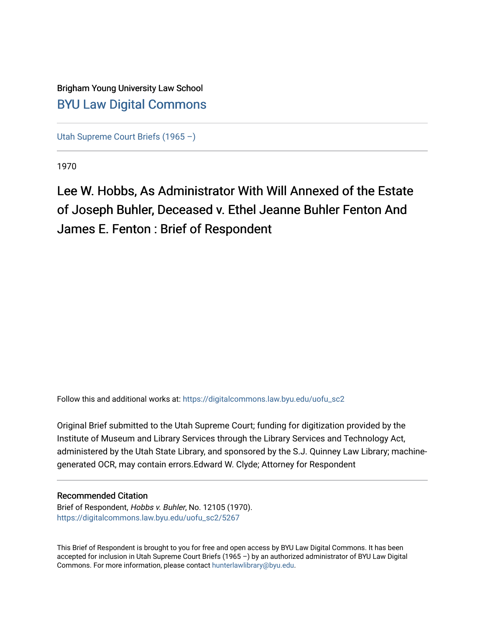### Brigham Young University Law School [BYU Law Digital Commons](https://digitalcommons.law.byu.edu/)

[Utah Supreme Court Briefs \(1965 –\)](https://digitalcommons.law.byu.edu/uofu_sc2)

1970

Lee W. Hobbs, As Administrator With Will Annexed of the Estate of Joseph Buhler, Deceased v. Ethel Jeanne Buhler Fenton And James E. Fenton : Brief of Respondent

Follow this and additional works at: [https://digitalcommons.law.byu.edu/uofu\\_sc2](https://digitalcommons.law.byu.edu/uofu_sc2?utm_source=digitalcommons.law.byu.edu%2Fuofu_sc2%2F5267&utm_medium=PDF&utm_campaign=PDFCoverPages)

Original Brief submitted to the Utah Supreme Court; funding for digitization provided by the Institute of Museum and Library Services through the Library Services and Technology Act, administered by the Utah State Library, and sponsored by the S.J. Quinney Law Library; machinegenerated OCR, may contain errors.Edward W. Clyde; Attorney for Respondent

### Recommended Citation

Brief of Respondent, Hobbs v. Buhler, No. 12105 (1970). [https://digitalcommons.law.byu.edu/uofu\\_sc2/5267](https://digitalcommons.law.byu.edu/uofu_sc2/5267?utm_source=digitalcommons.law.byu.edu%2Fuofu_sc2%2F5267&utm_medium=PDF&utm_campaign=PDFCoverPages) 

This Brief of Respondent is brought to you for free and open access by BYU Law Digital Commons. It has been accepted for inclusion in Utah Supreme Court Briefs (1965 –) by an authorized administrator of BYU Law Digital Commons. For more information, please contact [hunterlawlibrary@byu.edu](mailto:hunterlawlibrary@byu.edu).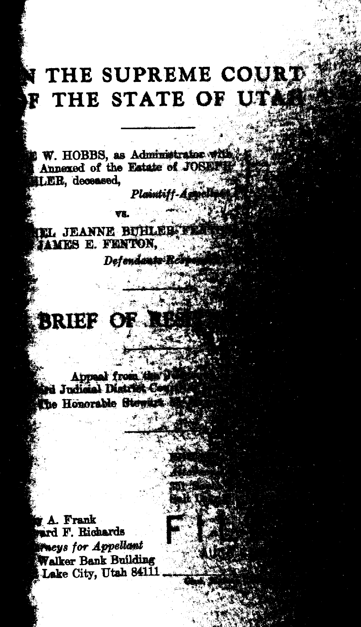## **THE SUPREME COURT P THE STATE OF UT.**

Planntiff-Age

W. HOBBS, as Administrator with Annexed of the Estate of JOSEFT LER, deceased,

Defendants-Red

**EL JEANNE BUHLEB FE JAMES E. FENTON,** 

# **BRIEF OF 1**

Appeal from the The Honorable Stewar

r A. Frank<br>ard F. Richards *(Theys for Appellant* Walker Bank Building Lake City, Utah 84111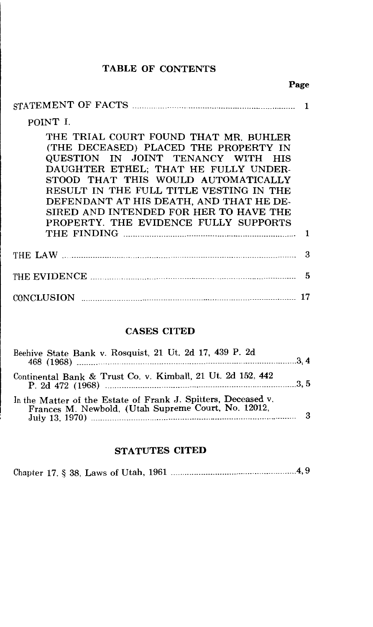### TABLE OF CONTENTS

|                                                                                                                                                                                                                                                                                                                                                                              | rage |    |
|------------------------------------------------------------------------------------------------------------------------------------------------------------------------------------------------------------------------------------------------------------------------------------------------------------------------------------------------------------------------------|------|----|
|                                                                                                                                                                                                                                                                                                                                                                              |      |    |
| POINT I.                                                                                                                                                                                                                                                                                                                                                                     |      |    |
| THE TRIAL COURT FOUND THAT MR. BUHLER<br>(THE DECEASED) PLACED THE PROPERTY IN<br>QUESTION IN JOINT TENANCY WITH HIS<br>DAUGHTER ETHEL: THAT HE FULLY UNDER-<br>STOOD THAT THIS WOULD AUTOMATICALLY<br>RESULT IN THE FULL TITLE VESTING IN THE<br>DEFENDANT AT HIS DEATH, AND THAT HE DE-<br>SIRED AND INTENDED FOR HER TO HAVE THE<br>PROPERTY. THE EVIDENCE FULLY SUPPORTS |      | ı  |
|                                                                                                                                                                                                                                                                                                                                                                              |      | З  |
|                                                                                                                                                                                                                                                                                                                                                                              |      | 5  |
|                                                                                                                                                                                                                                                                                                                                                                              |      | 17 |
|                                                                                                                                                                                                                                                                                                                                                                              |      |    |

#### CASES CITED

| Beehive State Bank v. Rosquist, 21 Ut. 2d 17, 439 P. 2d                                                              |  |
|----------------------------------------------------------------------------------------------------------------------|--|
| Continental Bank & Trust Co. v. Kimball, 21 Ut. 2d 152, 442                                                          |  |
| In the Matter of the Estate of Frank J. Spitters, Deceased v.<br>Frances M. Newbold, (Utah Supreme Court, No. 12012, |  |

### STATUTES CITED

|--|--|--|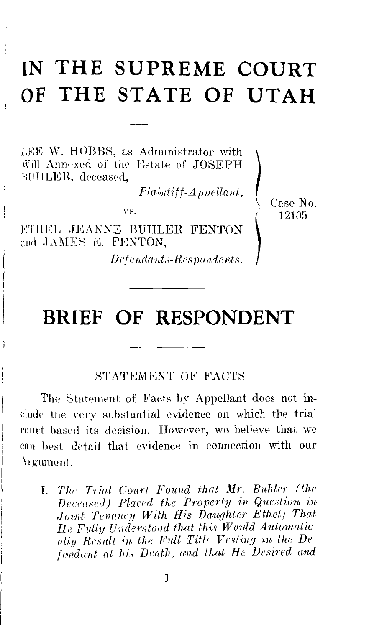## **IN THE SUPREME COURT OF THE STATE OF UTAH**

LEE W. HOBBS, as Administrator with Will Annexed of the Estate of JOSEPH **BUHLER**, deceased,

 $Plaintiff-Appellant,$ 

VS.

ETHEL JEANNE BUHLER FENTON and JAMES E. FENTON.

*Dl'fcnda 11ts-Respondents.* 

Case No. 12105

### **BRIEF OF RESPONDENT**

### STATEMENT OF FACTS

The Statement of Facts by Appellant does not include the very substantial evidence on which the trial eomt based its decision. However, we believe that we can best detail that evidence in connection with our .\l'g·urnent.

T. *The Trial Court Found that Mr. Buhler (the Deceased) Placed the Property in Question in Joint Tenancy With His Dciughtcr Ethel; That He F11U1J Understood that this Would Automatically Result in the Fnll Title Vesting in the Defendant at his Death, and that He Desired and*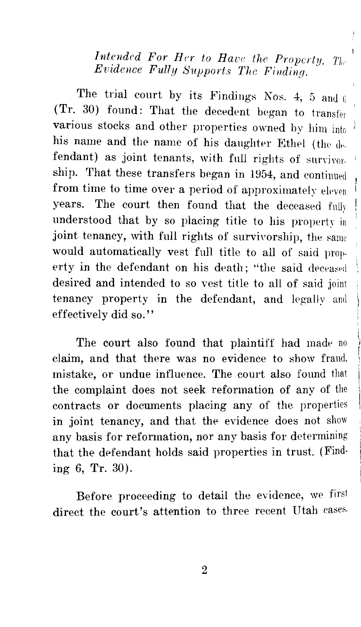*Intended For Her to Have the Property.* The *Evzdence Fully Supports The Finding.* 

The trial court by its Findings Nos. 4, 5 and 6 (Tr. 30) found: That the decedent began to transfer various stocks and other properties owned by him into his name and the name of his daughter Ethel (the  $d_{\text{F}}$ . fendant) as joint tenants, with full rights of survivor. ship. That these transfers began in 1954, and continued from time to time over a period of approximately eleven years. The court then found that the deceased fully understood that by so placing title to his property in joint tenancy, with full rights of survivorship, the same would automatically vest fnll title to all of said property in the defendant on his death; "the said deceased desired and intended to so vest title to all of said joint tenancy property in the defendant, and legally and effectively did so.''

The court also found that plaintiff had made no claim, and that there was no evidence to show fraud, mistake, or undue influence. The court also found that the complaint does not seek reformation of any of the contracts or documents placing any of the properties in joint tenancy, and that the evidence does not show any basis for reformation, nor any basis for determining that the defendant holds said properties in trust. (Finding 6, Tr. 30).

Before proceeding to detail the evidence, we first direct the court's attention to three recent Utah cases.

2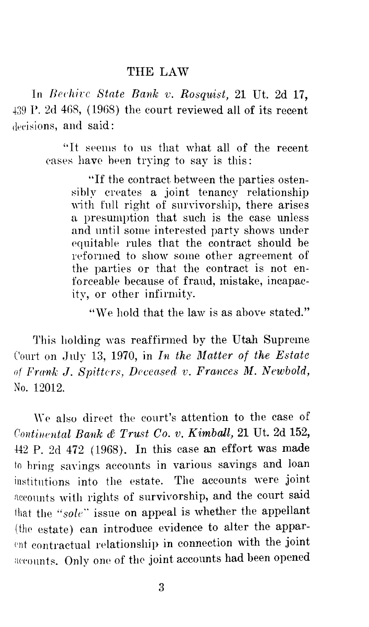#### THE LAW

ln *Brchirc State Bank v. Rosqiiist,* 21 Ut. 2d 17, P. 2d 4G8, (1968) the court reviewed all of its recent decisions, and said:

> ''It seems to us that what all of the recent eases have been trying to say is this:

"If the contract between the parties ostensibly creates a joint tenancy relationship with full right of survivorship, there arises a presumption that such is the case unless and until some interested party shows under equitable rules that the contract should be reformed to show some other agreement of the parties or that the contract is not enforceable because of fraud, mistake, incapacity, or other infirmity.

"We hold that the law is as above stated."

This holding was reaffirmed by the Utah Supreme Court on July 13, 1970, in *In the Matter of the Estate of Frank J. Spitters, Drccased v. Frances M. Newbold,*  No. 12012.

We also direct the court's attention to the case of *Continental Bank & Trust Co. v. Kimball,* 21 Ut. 2d 152, ±42 P. 2d 472 (1968). In this case an effort was made to hring savings accounts in various savings and loan institutions into the estate. The accounts were joint acconnts with rights of survivorship, and the court said that the "sole" issue on appeal is whether the appellant (the estate) can introduce evidence to alter the apparent contractual relationship in connection with the joint accounts. Only one of the joint accounts had been opened

3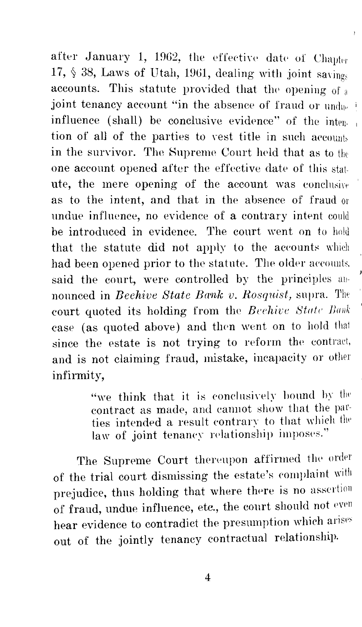after January 1, 1962, the effective date of Chapter 17,  $\S$  38, Laws of Utah, 1961, dealing with joint sayings accounts. This statute provided that the opening of  $_4$ joint tenancy account "in the absence of fraud or und  $e^{-t}$ influence (shall) be conclusive evidence" of the intention of all of the parties to vest title in such aecounts in the survivor. The Supreme Court held that as to the one account opened after the effective date of this statute, the mere opening of the account was conclusive as to the intent, and that in the absence of fraud or undue influence, no evidence of a contrary intent could be introduced in evidence. The court went on to hold that the statute did not apply to the accounts which had been opened prior to the statute. The older accounts, said the court, were controlled by the principles announced in *Beehive State Bank v. Rosquist*, supra. The court quoted its holding from the *Beehive State Bank* case (as quoted above) and then went on to hold that since the estate is not trying to reform the contract, and is not claiming fraud, mistake, incapacity or other infirmity,

> "we think that it is conclusively bound by the contract as made, and cannot show that the parties intended a result contrary to that which the law of joint tenancy relationship imposes."

The Supreme Court thereupon affirmed the order of the trial court dismissing the estate's complaint with prejudice, thus holding that where there is no assertion of fraud, undue influence, etc., the court should not even hear evidence to contradict the presumption which arises out of the jointly tenancy contractual relationship.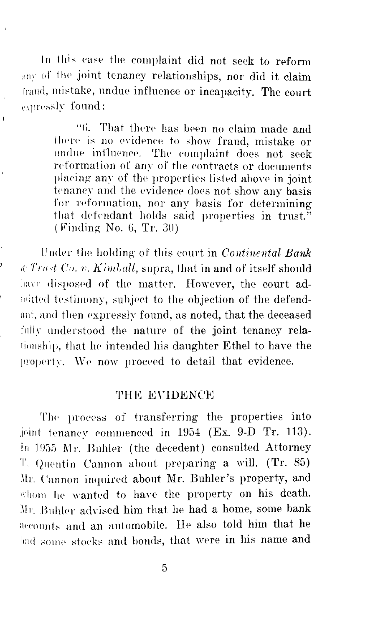In this case the complaint did not seek to reform any of the joint tenancy relationships, nor did it claim fraud, mistake, undue influence or incapacity. The court expressly found:

 $\overline{t}$ 

 $\bar{1}$ 

"6. That there has been no claim made and there is no evidence to show fraud, mistake or undue influence. The complaint does not seek reformation of any of the contracts or documents placing any of the properties listed above in joint tenancy and the evidence does not show any basis for reformation, nor any basis for determining that defendant holds said properties in trust."  $(Finding No. 6, Tr. 30)$ 

Under the holding of this court in *Continental Bank* r( *Trnst Co. 1;. Ki111lwll,* supra, that in and of itself should have disposed of the matter. However, the court admitted testimony, subject to the objection of the defendant, and then expressly found, as noted, that the deceased fully understood the nature of the joint tenancy relationship, that he intended his daughter Ethel to have the property. We now proceed to detail that evidence.

### THE EVIDENCE

The process of transferring the properties into joint tenancy commenced in 1954 (Ex. 9-D Tr. 113). In 1955  $Mr.$  Buhler (the decedent) consulted Attorney T. Quentin Cannon about preparing a will. (Tr. 85) Mr. Cannon inquired about Mr. Buhler's property, and whom he wanted to have the property on his death. Mr. Buhler advised him that he had a home, some bank accounts and an automobile. He also told him that he had some stocks and bonds, that were in his name and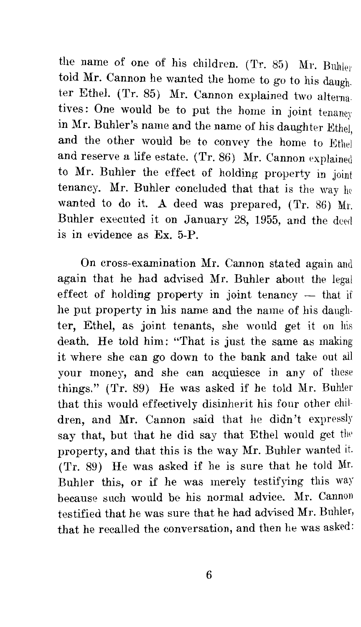the name of one of his children. (Tr. 85) Mr. Buhler told Mr. Cannon he wanted the home to go *to* his daughter Ethel. (Tr. 85) Mr. Cannon explained two altematives: One would be *to* put the home in joint tenancy in Mr. Buhler's name and the name of his daughter Ethei and the other would be to convey the home to Ethel and reserve a life estate. (Tr. 86) Mr. Cannon explained *to* Mr. Buhler the effect of holding property in joint tenancy. Mr. Buhler concluded that that is the way he wanted to do it. A deed was prepared, (Tr. 86) Mr. Buhler executed it on January 28, 1955, and the deed is in evidence as Ex. 5-P.

On cross-examination Mr. Cannon stated again and again that he had advised Mr. Buhler about the legal effect of holding property in joint tenancy  $-$  that if he put property in his name and the name of his daughter, Ethel, as joint tenants, she would get it on his death. He told him: "That is just the same as making it where she can go down *to* the bank and take out all your money, and she can acquiesce in any of these things." (Tr. 89) He was asked if he told Mr. Buhler that this would effectively disinherit his four other children, and Mr. Cannon said that he didn't expressly say that, but that he did say that Ethel would get the property, and that this is the way Mr. Buhler wanted it. (Tr. 89) He was asked if he is sure that he told Mr. Buhler this, or if he was merely testifying this way because such would be his normal advice. Mr. Cannon testified that he was sure that he had advised Mr. Buhler, that he recalled the conversation, and then he was asked: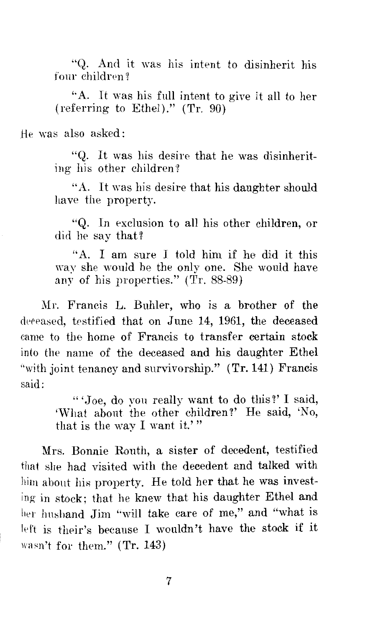"Q. And it was his intent to disinherit his four children?

"A. It was his full intent to give it all to her (referring to Ethel)." (Tr. 90)

He was also asked:

"Q. It was his desire that he was disinheriting his other children?

"A. It was his desire that his daughter should have the property.

"Q. In exclusion to all his other children, or did he say that?

''A. I am sure I told him if he did it this way she would be the only one. She would have any of his properties." (Tr. 88-89)

Mr. Francis L. Buhler, who is a brother of the deceased, testified that on June 14, 1961, the deceased came to the home of Francis to transfer certain stock into the name of the deceased and his daughter Ethel "with joint tenancy and survivorship." (Tr. 141) Francis said:

> " 'Joe, do you really want to do this?' I said, 'What about the other children?' He said, 'No, that is the way I want it.'"

Mrs. Bonnie Routh, a sister of decedent, testified that she had visited with the decedent and talked with him about his property. He told her that he was investing in stock; that he knew that his daughter Ethel and her husband Jim "will take care of me," and "what is left is their's because I wouldn't have the stock if it wasn't for them." (Tr. 143)

7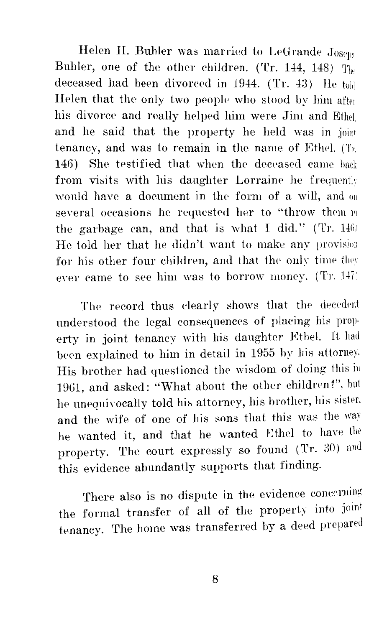Helen H. Buhler was married to LeGrande  $Jose(y)$ Buhler, one of the other children. (Tr. 144, 148) The deceased had been divorced in 1944. (Tr.  $43$ ) Ile told Helen that the only two people who stood by him after his divorce and really helped him were Jim and Ethel, and he said that the property he held was in joint tenancy, and was to remain in the name of Ethel. (Tr. 146) She testified that when the deceased came back from visits with his daughter Lorraine he frequently would have a document in the form of a will, and on several occasions he requested her to "throw them in the garbage can, and that is what I did." (Tr.  $1461$ ) He told her that he didn't want to make any provision for his other four children, and that the only time they ever came to see him was to borrow money. (Tr. 147)

The record thus clearly shows that the decedent understood the legal consequences of placing his property in joint tenancy with his daughter Ethel. It had been explained to him in detail in 1955 by his attorney. His brother had questioned the wisdom of doing this in 1961, and asked: "What about the other children?", but he unequivocally told his attorney, his brother, his sister, and the wife of one of his sons that this was the wav he wanted it, and that he wanted Ethel to have the property. The court expressly so found (Tr. 30) and this evidence abundantly supports that finding.

There also is no dispute in the evidence concerning the formal transfer of all of the property into joint tenancy. The home was transferred by a deed prepared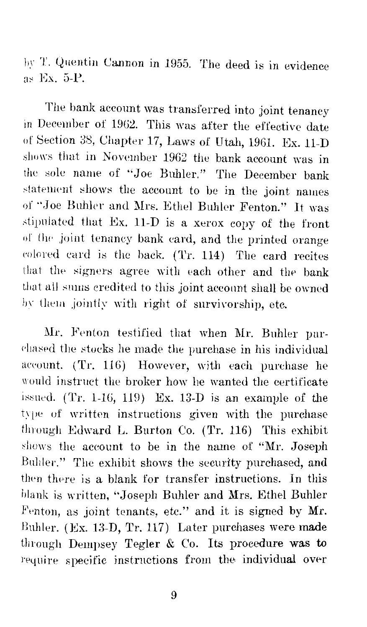by T. Quentin Cannon in 1955. The deed is in evidence Ex. 5-P.

The bank account was transferred into joint tenancy in December of 1902. This was after the effective date of Section 38, Chapter 17, Laws of Utah, 1961. Ex. 11-D shows that in November 1962 the bank account was in the sole name of "Joe Buhler." The December bank statement shows the account to be in the joint names of "Joe Buhler and Mrs. Ethel Buhler Fenton." It was stipulated that Ex.  $11-D$  is a xerox copy of the front of the joint tenancy bank card, and the printed orange colored card is the back. (Tr. 114) The card recites that the signers agree with each other and the bank that all sums credited to this joint account shall be owned by them jointly with right of survivorship, etc.

Mr. Fenton testified that when Mr. Buhler purchased the stocks he made the purchase in his individual account.  $(Tr, 116)$  However, with each purchase he would instruct the broker how he wanted the certificate issued.  $(Tr. 1-16, 119)$  Ex. 13-D is an example of the type of written instructions given with the purchase through Edward L. Burton Co. (Tr. 116) This exhibit shows the account to be in the name of "Mr. Joseph Buhler." The exhibit shows the security purchased, and then there is a blank for transfer instructions. In this blank is written, "Joseph Buhler and Mrs. Ethel Buhler Fenton, as joint tenants, etc." and it is signed by Mr. Buhler. (Ex. 13-D, Tr. 117) Later purchases were made through Dempsey Tegler & Co. Its procedure was to l'equire specific instructions from the individual over

9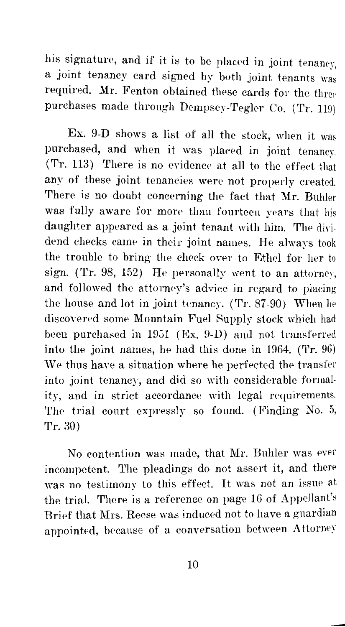his signature, and if it is to be placed in joint tenancy, a joint tenancy card signed by both joint tenants was required. Mr. Fenton obtained these cards for the three purchases made through Dempsey-Tegler Co. (Tr. 119)

Ex. 9-D shows a list of all the stock, when it was purchased, and when it was placed in joint tenancy.  $(Tr. 113)$  There is no evidence at all to the effect that any of these joint tenancies were not properly created. There is no doubt concerning the fact that Mr. Buhler was fully aware for more than fourteen years that his daughter appeared as a joint tenant with him. The dividend checks came in their joint names. He always took the trouble *to* bring the check over to Ethel for her to sign. (Tr. 98, 152) He personally went *to* an and followed the attorm•y's advice in regard to placing the house and lot in joint tenancy.  $(Tr. 87-90)$  When he discovered some Mountain Fuel Supply stock which had been purchased in  $1951$  (Ex. 9-D) and not transferred into the joint names, he had this done in 1964. (Tr.  $96$ ) We thus have a situation where he perfected the transfer into joint tenancy, and did so with considerable formality, and in strict accordance with legal requirements. The trial court expressly so found. (Finding No. 5, Tr. 30)

No contention was made, that Mr. Buhler was ever incompetent. The pleadings do not assert it, and there was no testimony to this effect. It was not an issue at the trial. There is a reference on page 16 of Appellant's Brief that Mrs. Reese was induced not to have a guardian appointed, because of a conversation between Attorney

--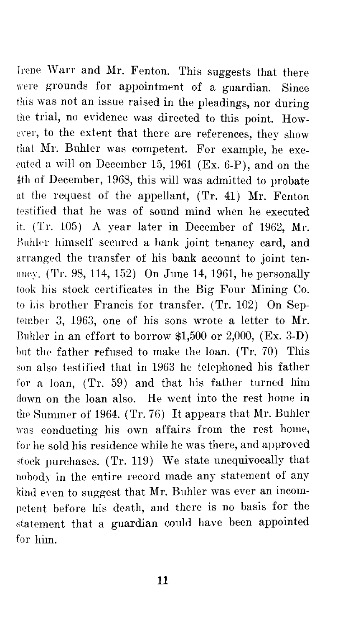Irene Warr and Mr. Fenton. This suggests that there were grounds for appointment of a guardian. Since this was not an issue raised in the pleadings, nor during the trial, no evidence was directed to this point. However, to the extent that there are references, they show that Mr. Buhler was competent. For example, he executed a will on December 15, 1961 (Ex. 6-P), and on the ±th of December, 1968, this will was admitted to probate at the request of the appellant, (Tr. 41) Mr. Fenton testified that he was of sound mind when he executed it.  $(Tr. 105)$  A year later in December of 1962, Mr. Buhler himself secured a bank joint tenancy card, and arranged the transfer of his bank account to joint ten ancy. (Tr. 98, 114, 152) On June 14, 1961, he personally took his stock certificates in the Big Four Mining Co. to his brother Francis for transfer. (Tr. 102) On September 3, 1963, one of his sons wrote a letter to Mr. Buhler in an effort to borrow \$1,500 or 2,000, (Ex. 3-D) but the father refused to make the loan.  $(Tr, 70)$  This son also testified that in 1963 he telephoned his father for a loan, (Tr. 59) and that his father turned him down on the loan also. He went into the rest home in the Summer of 1964. (Tr. 76) It appears that Mr. Buhler was conducting his own affairs from the rest home, for he sold his residence while he was there, and approved stock purchases. (Tr. 119) We state unequivocally that nobody in the entire record made any statement of any kind even to suggest that Mr. Buhler was ever an incompetent before his death, and there is no basis for the statement that a guardian could have been appointed for him.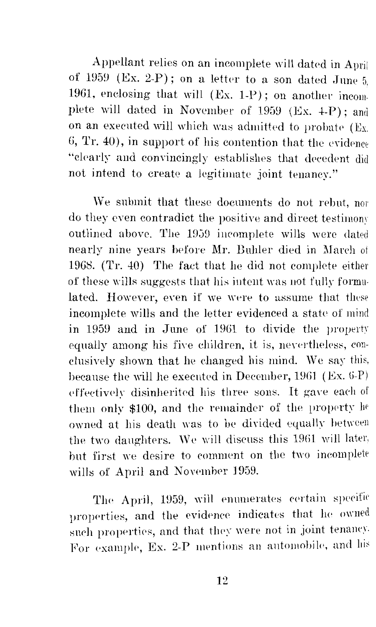Appellant relies on an incomplete will dated in April of 1959 (Ex. 2-P); on a letter to a son dated June  $5$ , 1961, enclosing that will (Ex. 1-P); on another incomplete will dated in November of 1959 (Ex. 4-P); and on an executed will which was admitted to probate (Ex. 6, Tr. 40), in support of his contention that the evidence "clearly and convincingly establishes that decedent did not intend to create a legitimate joint tenancy."

We submit that these documents do not rebut, nor do they even contradict the positive and direct testimony outlined above. The 1959 incomplete wills were dated nearly nine years before Mr. Buhler died in March of 19G8. (Tr. 40) The faet that he did not complete either of these wills suggests that his iutent was uot fully formulated. However, even if we were to assume that these incomplete wills and the letter evidenced a state of mind in 1959 and in June of 1961 to divide the property equally among his five children, it is, nevertheless, conclusively shown that he changed his mind. We say because the will he executed in December,  $1961$  (Ex. 6-P) effectively disinherited his three sons. It gave each of them only \$100, and the remainder of the property he owned at his death was to be divided equally between the two daughters. We will discuss this 1961 will later, but first we desire to comment on the two incomplete wills of April and November 1959.

The April, 1959, will enumerates certain specific properties, and the evidence indicates that he owned such properties, and that they were not in joint tenancy. For example, Ex. 2-P mentions an automobile, and his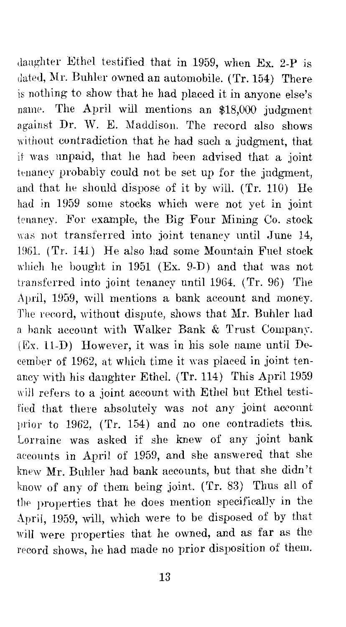daughter Ethel testified that in 1959, when Ex. 2-P is dated, Mr. Buhler owned an automobile. (Tr. 154) There is nothing to show that he had placed it in anyone else's name. The April will mentions an \$18,000 judgment against Dr. W. E. Maddison. The record also shows without eontradiction that he had such a judgment, that it was unpaid, that he had been advised that a joint tenancy probably could not be set up for the judgment, and that he should dispose of it by will. (Tr. 110) He had in 1959 some stocks which were not yet in joint tenaney. For example, the Big Four Mining Co. stock was not transferred into joint tenancy until June 14, 1961. (Tr. 141) He also had some Mountain Fuel stock which he bought in 1951 (Ex. 9-D) and that was not transferred into joint tenancy until 1964. (Tr. 96) The April, 1959, will mentions a bank account and money. The record, without dispute, shows that Mr. Buhler had a hank account with Walker Bank & Trust Company.  $(Ex. 11-D)$  However, it was in his sole name until December of 1962, at which time it was placed in joint tenancy with his daughter Ethel. (Tr. 114) This April 1959 will refers to a joint account with Ethel but Ethel testified that there absolutely was not any joint account prior to 1962, (Tr. 154) and no one contradicts this. Lorraine was asked if she knew of any joint bank aecounts in April of 1959, and she answered that she knew Mr. Buhler had bank accounts, but that she didn't know of any of them being joint. (Tr. 83) Thus all of the properties that he does mention specifically in the April, 1959, will, which were to be disposed of by that will were properties that he owned, and as far as the record shows, he had made no prior disposition of them.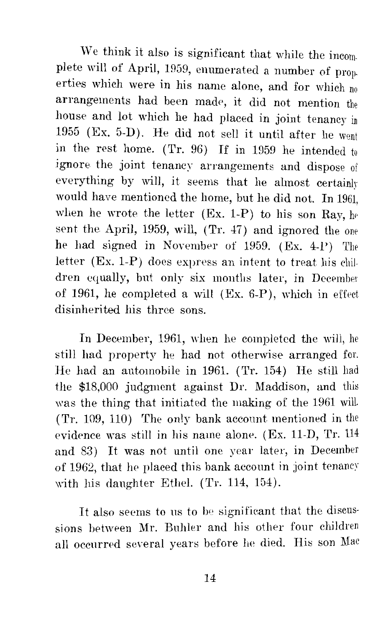We think it also is significant that while the incomplete will of April, 1959, enumerated a number of prop. erties which were in his name alone, and for which no arrangements had been made, it did not mention the house and lot which he had placed in joint tenancy in 1955 (Ex. 5-D). He did not sell it until after he went in the rest home. (Tr. 96) If in 1959 he intended to ignore the joint tenancy arrangements and dispose of everything by will, it seems that he almost certainly would have mentioned the home, but he did not. In 1961, when he wrote the letter  $(Ex. 1-P)$  to his son Ray, he sent the April, 1959, will, (Tr. 47) and ignored the one he had signed in November of 1959.  $(Ex. 4-P)$  The letter (Ex. 1-P) does express an intent to treat his children equally, but only six months later, in December of 1961, he completed a will (Ex. 6-P), which in effect disinherited his three sons.

In December, 1961, when he completed the will, he still had property he had not otherwise arranged for. He had an automobile in 1961. (Tr. 154) He still had the \$18,000 judgment against Dr. Maddison, and was the thing that initiated the making of the 1961 will. (Tr. 109, 110) The only bank account mentioned in the evidence was still in his name alone. (Ex. 11-D, Tr. 114 and 83) It was not until one year later, in December of 1962, that he placed this bank account in joint tenancy with his daughter Ethel. (Tr. 114, 154).

It also seems to us to be significant that the discussions between Mr. Buhler and his other four children all occurred several years before he died. His son Mac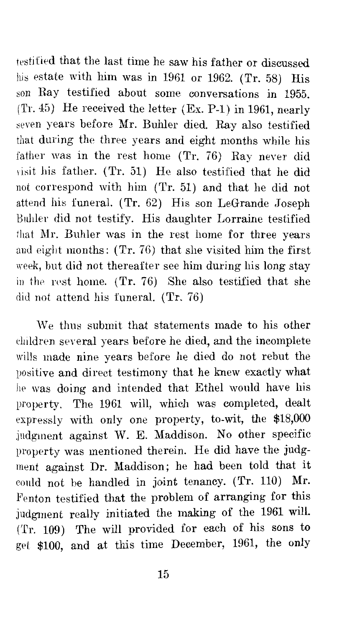testified that the last time he saw his father or discussed his estate with him was in 1961 or 1962. (Tr. 58) His son Ray testified about some conversations in 1955. (Tr. 45) He received the letter (Ex. P-1) in 1961, nearly seven years before Mr. Buhler died. Ray also testified that during the three years and eight months while his father was in the rest home  $(Tr, 76)$  Ray never did visit his father. (Tr. 51) He also testified that he did not correspond with him (Tr. 51) and that he did not attend his funeral. (Tr. 62) His son LeGrande Joseph Bnhler did not testify. His daughter Lorraine testified that Mr. Buhler was in the rest home for three years and eight months: (Tr. 76) that she visited him the first week, but did not thereafter see him during his long stay in the rest home.  $(Tr, 76)$  She also testified that she did not attend his funeral. (Tr. 76)

We thus submit that statements made to his other children several years before he died, and the incomplete wills made nine years before he died do not rebut the positive and direct testimony that he knew exactly what he was doing and intended that Ethel would have his property. The 1961 will, which was completed, dealt expressly with only one property, to-wit, the \$18,000 judgment against W. E. Maddison. No other specific property was mentioned therein. He did have the judgment against Dr. Maddison; he had been told that it could not be handled in joint tenancy. (Tr. 110) Mr Fenton testified that the problem of arranging for this judgment really initiated the making of the 1961 will. ('rr. 109) The will provided for each of his sons to get \$100, and at this time December, 1961, the only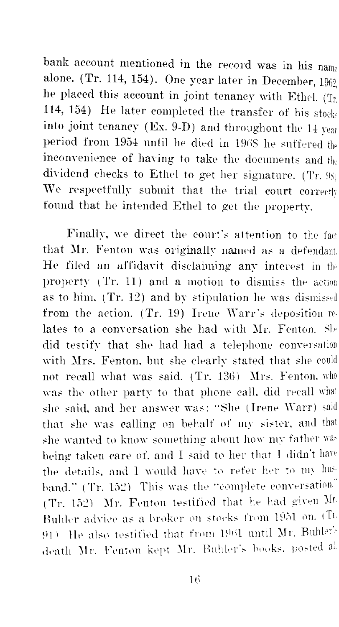bank account mentioned in the record was in his name alone. (Tr. 114, 154). One year later in December,  $1962$ he placed this account in joint tenancy with Ethel. (Tr. 114, 154) He later completed the transfer of his stockinto joint tenancy (Ex. 9-D) and throughout the 14  $_{\text{year}}$ period from 1954 until he died in 1968 he suffered the inconvenience of having to take the documents and the dividend checks to Ethel to get her signature. (Tr. 98) We respectfully submit that the trial court correctly found that he intended Ethel to get the property.

Finally, we direct the court's attention to the fact that Mr. Fenton was originally named as a defendant. He filed an affidavit disclaiming any interest in the property (Tr. 11) and a motion to dismiss the action as to him,  $(Tr. 12)$  and by stipulation he was dismissed from the action.  $(Tr. 19)$  Irene Warr's deposition relates to a conversation she had with Mr. Fenton. She did testify that she had had a telephone conversation with Mrs. Fenton, but she clearly stated that she could not recall what was said. (Tr. 136) Mrs. Fenton.  $w h\theta$ was the other party to that phone call, did recall what she said, and her answer was: "She (Irene Warr) said that she was calling on behalf or my sister. and that she wanted to know something about how my father was being taken care of, and I said to her that I didn't have the details, and I would have to refer her to my husband." (Tr. 152) This was the "complete conversation." (Tr. 152) Mr. Fenton testified that he had given  $Mr$ Buhler advice as a broker on stocks from 1951 on. (In 91) He also testified that from 1961 until Mr. Buhler's death Mr. Fenton kept Mr. Buhler's books, posted al.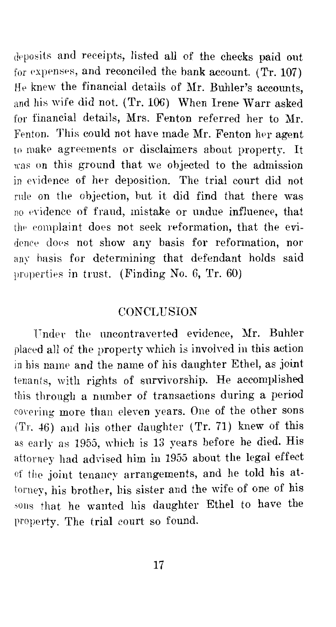deposits and receipts, listed all of the checks paid out for expenses, and reconciled the bank account.  $(Tr. 107)$ He knew the financial details of Mr. Buhler's accounts, and his wife did not. (Tr. 106) When Irene Warr asked for financial details, Mrs. Fenton referred her to Mr. Fenton. This could not have made Mr. Fenton her agent to make agreements or disclaimers about property. It was on this ground that we objected to the admission in evidence of her deposition. The trial court did not rule on the objection, but it did find that there was no evidence of fraud, mistake or undue influence, that the complaint does not seek reformation, that the evidence does not show any basis for reformation, nor any hasis for determining that defendant holds said properties in trust. (Finding No. 6, Tr.  $60$ )

### **CONCLUSION**

Fnder the nncontraverted evidence, Mr. Buhler placed all of the property which is involved in this action in his name and the name of his daughter Ethel, as joint tenants, with rights of survivorship. He accomplished this through a number of transactions during a period covering more than eleven years. One of the other sons (Tr. 46) and his other daughter (Tr. 71) knew of this as early as 1955, which is 13 years before he died. His attorney had advised him in 1955 about the legal effect of the joint tenancy arrangements, and he told his attorney, his brother, his sister and the wife of one of his sons that he wanted his daughter Ethel to have the property. The trial court so found.